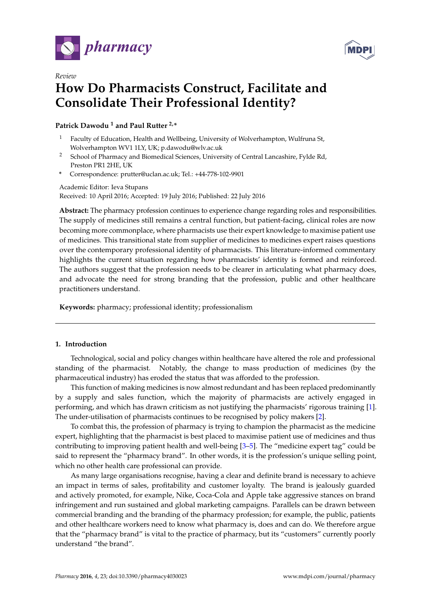

*Review*



# **How Do Pharmacists Construct, Facilitate and Consolidate Their Professional Identity?**

# **Patrick Dawodu <sup>1</sup> and Paul Rutter 2,\***

- <sup>1</sup> Faculty of Education, Health and Wellbeing, University of Wolverhampton, Wulfruna St, Wolverhampton WV1 1LY, UK; p.dawodu@wlv.ac.uk
- <sup>2</sup> School of Pharmacy and Biomedical Sciences, University of Central Lancashire, Fylde Rd, Preston PR1 2HE, UK
- **\*** Correspondence: prutter@uclan.ac.uk; Tel.: +44-778-102-9901

Academic Editor: Ieva Stupans Received: 10 April 2016; Accepted: 19 July 2016; Published: 22 July 2016

**Abstract:** The pharmacy profession continues to experience change regarding roles and responsibilities. The supply of medicines still remains a central function, but patient-facing, clinical roles are now becoming more commonplace, where pharmacists use their expert knowledge to maximise patient use of medicines. This transitional state from supplier of medicines to medicines expert raises questions over the contemporary professional identity of pharmacists. This literature-informed commentary highlights the current situation regarding how pharmacists' identity is formed and reinforced. The authors suggest that the profession needs to be clearer in articulating what pharmacy does, and advocate the need for strong branding that the profession, public and other healthcare practitioners understand.

**Keywords:** pharmacy; professional identity; professionalism

## **1. Introduction**

Technological, social and policy changes within healthcare have altered the role and professional standing of the pharmacist. Notably, the change to mass production of medicines (by the pharmaceutical industry) has eroded the status that was afforded to the profession.

This function of making medicines is now almost redundant and has been replaced predominantly by a supply and sales function, which the majority of pharmacists are actively engaged in performing, and which has drawn criticism as not justifying the pharmacists' rigorous training [\[1\]](#page-3-0). The under-utilisation of pharmacists continues to be recognised by policy makers [\[2\]](#page-3-1).

To combat this, the profession of pharmacy is trying to champion the pharmacist as the medicine expert, highlighting that the pharmacist is best placed to maximise patient use of medicines and thus contributing to improving patient health and well-being [\[3–](#page-3-2)[5\]](#page-3-3). The "medicine expert tag" could be said to represent the "pharmacy brand". In other words, it is the profession's unique selling point, which no other health care professional can provide.

As many large organisations recognise, having a clear and definite brand is necessary to achieve an impact in terms of sales, profitability and customer loyalty. The brand is jealously guarded and actively promoted, for example, Nike, Coca-Cola and Apple take aggressive stances on brand infringement and run sustained and global marketing campaigns. Parallels can be drawn between commercial branding and the branding of the pharmacy profession; for example, the public, patients and other healthcare workers need to know what pharmacy is, does and can do. We therefore argue that the "pharmacy brand" is vital to the practice of pharmacy, but its "customers" currently poorly understand "the brand".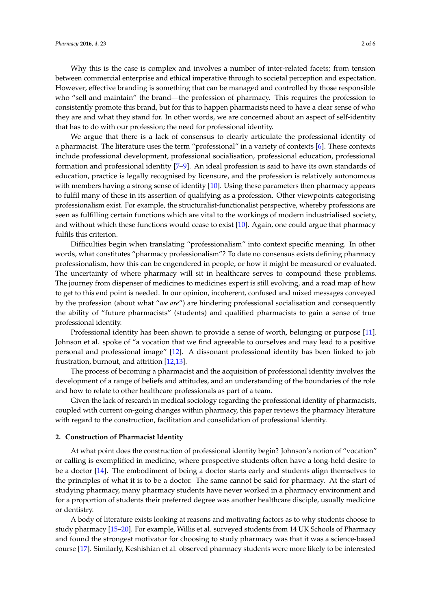Why this is the case is complex and involves a number of inter-related facets; from tension between commercial enterprise and ethical imperative through to societal perception and expectation. However, effective branding is something that can be managed and controlled by those responsible who "sell and maintain" the brand—the profession of pharmacy. This requires the profession to consistently promote this brand, but for this to happen pharmacists need to have a clear sense of who they are and what they stand for. In other words, we are concerned about an aspect of self-identity that has to do with our profession; the need for professional identity.

We argue that there is a lack of consensus to clearly articulate the professional identity of a pharmacist. The literature uses the term "professional" in a variety of contexts [\[6\]](#page-3-4). These contexts include professional development, professional socialisation, professional education, professional formation and professional identity [\[7](#page-3-5)[–9\]](#page-3-6). An ideal profession is said to have its own standards of education, practice is legally recognised by licensure, and the profession is relatively autonomous with members having a strong sense of identity [\[10\]](#page-4-0). Using these parameters then pharmacy appears to fulfil many of these in its assertion of qualifying as a profession. Other viewpoints categorising professionalism exist. For example, the structuralist-functionalist perspective, whereby professions are seen as fulfilling certain functions which are vital to the workings of modern industrialised society, and without which these functions would cease to exist [\[10\]](#page-4-0). Again, one could argue that pharmacy fulfils this criterion.

Difficulties begin when translating "professionalism" into context specific meaning. In other words, what constitutes "pharmacy professionalism"? To date no consensus exists defining pharmacy professionalism, how this can be engendered in people, or how it might be measured or evaluated. The uncertainty of where pharmacy will sit in healthcare serves to compound these problems. The journey from dispenser of medicines to medicines expert is still evolving, and a road map of how to get to this end point is needed. In our opinion, incoherent, confused and mixed messages conveyed by the profession (about what "*we are*") are hindering professional socialisation and consequently the ability of "future pharmacists" (students) and qualified pharmacists to gain a sense of true professional identity.

Professional identity has been shown to provide a sense of worth, belonging or purpose [\[11\]](#page-4-1). Johnson et al. spoke of "a vocation that we find agreeable to ourselves and may lead to a positive personal and professional image" [\[12\]](#page-4-2). A dissonant professional identity has been linked to job frustration, burnout, and attrition [\[12,](#page-4-2)[13\]](#page-4-3).

The process of becoming a pharmacist and the acquisition of professional identity involves the development of a range of beliefs and attitudes, and an understanding of the boundaries of the role and how to relate to other healthcare professionals as part of a team.

Given the lack of research in medical sociology regarding the professional identity of pharmacists, coupled with current on-going changes within pharmacy, this paper reviews the pharmacy literature with regard to the construction, facilitation and consolidation of professional identity.

#### **2. Construction of Pharmacist Identity**

At what point does the construction of professional identity begin? Johnson's notion of "vocation" or calling is exemplified in medicine, where prospective students often have a long-held desire to be a doctor [\[14\]](#page-4-4). The embodiment of being a doctor starts early and students align themselves to the principles of what it is to be a doctor. The same cannot be said for pharmacy. At the start of studying pharmacy, many pharmacy students have never worked in a pharmacy environment and for a proportion of students their preferred degree was another healthcare disciple, usually medicine or dentistry.

A body of literature exists looking at reasons and motivating factors as to why students choose to study pharmacy [\[15–](#page-4-5)[20\]](#page-4-6). For example, Willis et al. surveyed students from 14 UK Schools of Pharmacy and found the strongest motivator for choosing to study pharmacy was that it was a science-based course [\[17\]](#page-4-7). Similarly, Keshishian et al. observed pharmacy students were more likely to be interested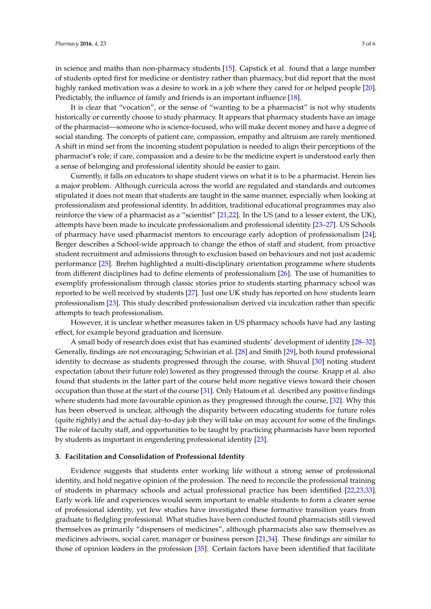in science and maths than non-pharmacy students [\[15\]](#page-4-5). Capstick et al. found that a large number of students opted first for medicine or dentistry rather than pharmacy, but did report that the most highly ranked motivation was a desire to work in a job where they cared for or helped people [\[20\]](#page-4-6). Predictably, the influence of family and friends is an important influence [\[18\]](#page-4-8).

It is clear that "vocation", or the sense of "wanting to be a pharmacist" is not why students historically or currently choose to study pharmacy. It appears that pharmacy students have an image of the pharmacist—someone who is science-focused, who will make decent money and have a degree of social standing. The concepts of patient care, compassion, empathy and altruism are rarely mentioned. A shift in mind set from the incoming student population is needed to align their perceptions of the pharmacist's role; if care, compassion and a desire to be the medicine expert is understood early then a sense of belonging and professional identity should be easier to gain.

Currently, it falls on educators to shape student views on what it is to be a pharmacist. Herein lies a major problem. Although curricula across the world are regulated and standards and outcomes stipulated it does not mean that students are taught in the same manner, especially when looking at professionalism and professional identity. In addition, traditional educational programmes may also reinforce the view of a pharmacist as a "scientist" [\[21](#page-4-9)[,22\]](#page-4-10). In the US (and to a lesser extent, the UK), attempts have been made to inculcate professionalism and professional identity [\[23](#page-4-11)[–27\]](#page-4-12). US Schools of pharmacy have used pharmacist mentors to encourage early adoption of professionalism [\[24\]](#page-4-13); Berger describes a School-wide approach to change the ethos of staff and student, from proactive student recruitment and admissions through to exclusion based on behaviours and not just academic performance [\[25\]](#page-4-14). Brehm highlighted a multi-disciplinary orientation programme where students from different disciplines had to define elements of professionalism [\[26\]](#page-4-15). The use of humanities to exemplify professionalism through classic stories prior to students starting pharmacy school was reported to be well received by students [\[27\]](#page-4-12). Just one UK study has reported on how students learn professionalism [\[23\]](#page-4-11). This study described professionalism derived via inculcation rather than specific attempts to teach professionalism.

However, it is unclear whether measures taken in US pharmacy schools have had any lasting effect, for example beyond graduation and licensure.

A small body of research does exist that has examined students' development of identity [\[28–](#page-4-16)[32\]](#page-4-17). Generally, findings are not encouraging; Schwirian et al. [\[28\]](#page-4-16) and Smith [\[29\]](#page-4-18), both found professional identity to decrease as students progressed through the course, with Shuval [\[30\]](#page-4-19) noting student expectation (about their future role) lowered as they progressed through the course. Knapp et al. also found that students in the latter part of the course held more negative views toward their chosen occupation than those at the start of the course [\[31\]](#page-4-20). Only Hatoum et al. described any positive findings where students had more favourable opinion as they progressed through the course, [\[32\]](#page-4-17). Why this has been observed is unclear, although the disparity between educating students for future roles (quite rightly) and the actual day-to-day job they will take on may account for some of the findings. The role of faculty staff, and opportunities to be taught by practicing pharmacists have been reported by students as important in engendering professional identity [\[23\]](#page-4-11).

### **3. Facilitation and Consolidation of Professional Identity**

Evidence suggests that students enter working life without a strong sense of professional identity, and hold negative opinion of the profession. The need to reconcile the professional training of students in pharmacy schools and actual professional practice has been identified [\[22,](#page-4-10)[23,](#page-4-11)[33\]](#page-4-21). Early work life and experiences would seem important to enable students to form a clearer sense of professional identity, yet few studies have investigated these formative transition years from graduate to fledgling professional. What studies have been conducted found pharmacists still viewed themselves as primarily "dispensers of medicines", although pharmacists also saw themselves as medicines advisors, social carer, manager or business person [\[21](#page-4-9)[,34\]](#page-4-22). These findings are similar to those of opinion leaders in the profession [\[35\]](#page-5-0). Certain factors have been identified that facilitate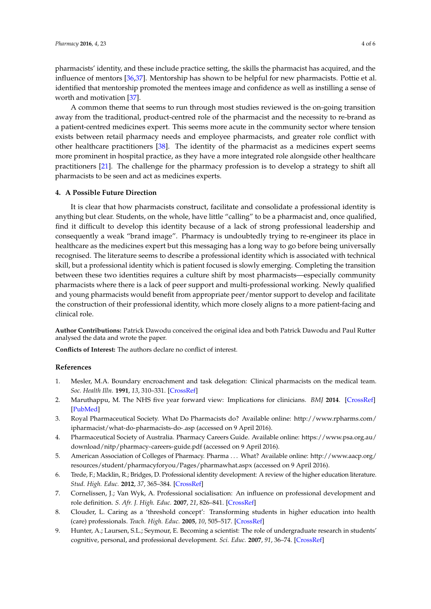pharmacists' identity, and these include practice setting, the skills the pharmacist has acquired, and the influence of mentors [\[36,](#page-5-1)[37\]](#page-5-2). Mentorship has shown to be helpful for new pharmacists. Pottie et al. identified that mentorship promoted the mentees image and confidence as well as instilling a sense of worth and motivation [\[37\]](#page-5-2).

A common theme that seems to run through most studies reviewed is the on-going transition away from the traditional, product-centred role of the pharmacist and the necessity to re-brand as a patient-centred medicines expert. This seems more acute in the community sector where tension exists between retail pharmacy needs and employee pharmacists, and greater role conflict with other healthcare practitioners [\[38\]](#page-5-3). The identity of the pharmacist as a medicines expert seems more prominent in hospital practice, as they have a more integrated role alongside other healthcare practitioners [\[21\]](#page-4-9). The challenge for the pharmacy profession is to develop a strategy to shift all pharmacists to be seen and act as medicines experts.

## **4. A Possible Future Direction**

It is clear that how pharmacists construct, facilitate and consolidate a professional identity is anything but clear. Students, on the whole, have little "calling" to be a pharmacist and, once qualified, find it difficult to develop this identity because of a lack of strong professional leadership and consequently a weak "brand image". Pharmacy is undoubtedly trying to re-engineer its place in healthcare as the medicines expert but this messaging has a long way to go before being universally recognised. The literature seems to describe a professional identity which is associated with technical skill, but a professional identity which is patient focused is slowly emerging. Completing the transition between these two identities requires a culture shift by most pharmacists—especially community pharmacists where there is a lack of peer support and multi-professional working. Newly qualified and young pharmacists would benefit from appropriate peer/mentor support to develop and facilitate the construction of their professional identity, which more closely aligns to a more patient-facing and clinical role.

**Author Contributions:** Patrick Dawodu conceived the original idea and both Patrick Dawodu and Paul Rutter analysed the data and wrote the paper.

**Conflicts of Interest:** The authors declare no conflict of interest.

#### **References**

- <span id="page-3-0"></span>1. Mesler, M.A. Boundary encroachment and task delegation: Clinical pharmacists on the medical team. *Soc. Health Illn.* **1991**, *13*, 310–331. [\[CrossRef\]](http://dx.doi.org/10.1111/1467-9566.ep10492129)
- <span id="page-3-1"></span>2. Maruthappu, M. The NHS five year forward view: Implications for clinicians. *BMJ* **2014**. [\[CrossRef\]](http://dx.doi.org/10.1136/bmj.g6518) [\[PubMed\]](http://www.ncbi.nlm.nih.gov/pubmed/25361843)
- <span id="page-3-2"></span>3. Royal Pharmaceutical Society. What Do Pharmacists do? Available online: [http://www.rpharms.com/](http://www.rpharms.com/ipharmacist/what-do-pharmacists-do-.asp) [ipharmacist/what-do-pharmacists-do-.asp](http://www.rpharms.com/ipharmacist/what-do-pharmacists-do-.asp) (accessed on 9 April 2016).
- 4. Pharmaceutical Society of Australia. Pharmacy Careers Guide. Available online: [https://www.psa.org.au/](https://www.psa.org.au/download/nitp/pharmacy-careers-guide.pdf) [download/nitp/pharmacy-careers-guide.pdf](https://www.psa.org.au/download/nitp/pharmacy-careers-guide.pdf) (accessed on 9 April 2016).
- <span id="page-3-3"></span>5. American Association of Colleges of Pharmacy. Pharma . . . What? Available online: [http://www.aacp.org/](http://www.aacp.org/resources/student/pharmacyforyou/Pages/pharmawhat.aspx) [resources/student/pharmacyforyou/Pages/pharmawhat.aspx](http://www.aacp.org/resources/student/pharmacyforyou/Pages/pharmawhat.aspx) (accessed on 9 April 2016).
- <span id="page-3-4"></span>6. Trede, F.; Macklin, R.; Bridges, D. Professional identity development: A review of the higher education literature. *Stud. High. Educ.* **2012**, *37*, 365–384. [\[CrossRef\]](http://dx.doi.org/10.1080/03075079.2010.521237)
- <span id="page-3-5"></span>7. Cornelissen, J.; Van Wyk, A. Professional socialisation: An influence on professional development and role definition. *S. Afr. J. High. Educ.* **2007**, *21*, 826–841. [\[CrossRef\]](http://dx.doi.org/10.4314/sajhe.v21i7.25745)
- 8. Clouder, L. Caring as a 'threshold concept': Transforming students in higher education into health (care) professionals. *Teach. High. Educ.* **2005**, *10*, 505–517. [\[CrossRef\]](http://dx.doi.org/10.1080/13562510500239141)
- <span id="page-3-6"></span>9. Hunter, A.; Laursen, S.L.; Seymour, E. Becoming a scientist: The role of undergraduate research in students' cognitive, personal, and professional development. *Sci. Educ.* **2007**, *91*, 36–74. [\[CrossRef\]](http://dx.doi.org/10.1002/sce.20173)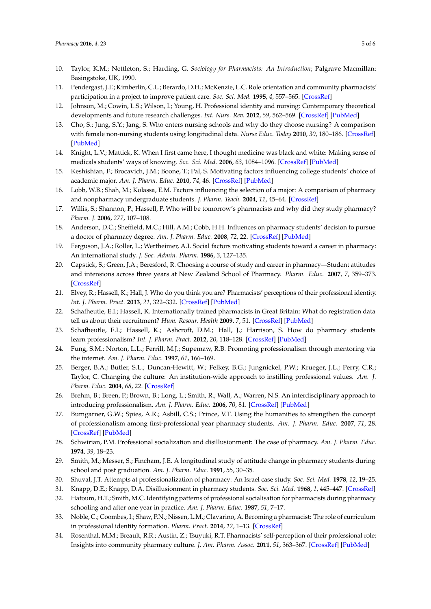- <span id="page-4-0"></span>10. Taylor, K.M.; Nettleton, S.; Harding, G. *Sociology for Pharmacists: An Introduction*; Palgrave Macmillan: Basingstoke, UK, 1990.
- <span id="page-4-1"></span>11. Pendergast, J.F.; Kimberlin, C.L.; Berardo, D.H.; McKenzie, L.C. Role orientation and community pharmacists' participation in a project to improve patient care. *Soc. Sci. Med.* **1995**, *4*, 557–565. [\[CrossRef\]](http://dx.doi.org/10.1016/0277-9536(94)E0106-3)
- <span id="page-4-2"></span>12. Johnson, M.; Cowin, L.S.; Wilson, I.; Young, H. Professional identity and nursing: Contemporary theoretical developments and future research challenges. *Int. Nurs. Rev.* **2012**, *59*, 562–569. [\[CrossRef\]](http://dx.doi.org/10.1111/j.1466-7657.2012.01013.x) [\[PubMed\]](http://www.ncbi.nlm.nih.gov/pubmed/23134142)
- <span id="page-4-3"></span>13. Cho, S.; Jung, S.Y.; Jang, S. Who enters nursing schools and why do they choose nursing? A comparison with female non-nursing students using longitudinal data. *Nurse Educ. Today* **2010**, *30*, 180–186. [\[CrossRef\]](http://dx.doi.org/10.1016/j.nedt.2009.07.009) [\[PubMed\]](http://www.ncbi.nlm.nih.gov/pubmed/19682773)
- <span id="page-4-4"></span>14. Knight, L.V.; Mattick, K. When I first came here, I thought medicine was black and white: Making sense of medicals students' ways of knowing. *Soc. Sci. Med.* **2006**, *63*, 1084–1096. [\[CrossRef\]](http://dx.doi.org/10.1016/j.socscimed.2006.01.017) [\[PubMed\]](http://www.ncbi.nlm.nih.gov/pubmed/16519978)
- <span id="page-4-5"></span>15. Keshishian, F.; Brocavich, J.M.; Boone, T.; Pal, S. Motivating factors influencing college students' choice of academic major. *Am. J. Pharm. Educ.* **2010**, *74*, 46. [\[CrossRef\]](http://dx.doi.org/10.5688/aj740346) [\[PubMed\]](http://www.ncbi.nlm.nih.gov/pubmed/20498739)
- 16. Lobb, W.B.; Shah, M.; Kolassa, E.M. Factors influencing the selection of a major: A comparison of pharmacy and nonpharmacy undergraduate students. *J. Pharm. Teach.* **2004**, *11*, 45–64. [\[CrossRef\]](http://dx.doi.org/10.1300/J060v11n02_04)
- <span id="page-4-7"></span>17. Willis, S.; Shannon, P.; Hassell, P. Who will be tomorrow's pharmacists and why did they study pharmacy? *Pharm. J.* **2006**, *277*, 107–108.
- <span id="page-4-8"></span>18. Anderson, D.C.; Sheffield, M.C.; Hill, A.M.; Cobb, H.H. Influences on pharmacy students' decision to pursue a doctor of pharmacy degree. *Am. J. Pharm. Educ.* **2008**, *72*, 22. [\[CrossRef\]](http://dx.doi.org/10.5688/aj720222) [\[PubMed\]](http://www.ncbi.nlm.nih.gov/pubmed/18483590)
- 19. Ferguson, J.A.; Roller, L.; Wertheimer, A.I. Social factors motivating students toward a career in pharmacy: An international study. *J. Soc. Admin. Pharm.* **1986**, *3*, 127–135.
- <span id="page-4-6"></span>20. Capstick, S.; Green, J.A.; Beresford, R. Choosing a course of study and career in pharmacy—Student attitudes and intensions across three years at New Zealand School of Pharmacy. *Pharm. Educ.* **2007**, *7*, 359–373. [\[CrossRef\]](http://dx.doi.org/10.1080/15602210701673811)
- <span id="page-4-9"></span>21. Elvey, R.; Hassell, K.; Hall, J. Who do you think you are? Pharmacists' perceptions of their professional identity. *Int. J. Pharm. Pract.* **2013**, *21*, 322–332. [\[CrossRef\]](http://dx.doi.org/10.1111/ijpp.12019) [\[PubMed\]](http://www.ncbi.nlm.nih.gov/pubmed/23419140)
- <span id="page-4-10"></span>22. Schafheutle, E.I.; Hassell, K. Internationally trained pharmacists in Great Britain: What do registration data tell us about their recruitment? *Hum. Resour. Health* **2009**, *7*, 51. [\[CrossRef\]](http://dx.doi.org/10.1186/1478-4491-7-51) [\[PubMed\]](http://www.ncbi.nlm.nih.gov/pubmed/19555489)
- <span id="page-4-11"></span>23. Schafheutle, E.I.; Hassell, K.; Ashcroft, D.M.; Hall, J.; Harrison, S. How do pharmacy students learn professionalism? *Int. J. Pharm. Pract.* **2012**, *20*, 118–128. [\[CrossRef\]](http://dx.doi.org/10.1111/j.2042-7174.2011.00166.x) [\[PubMed\]](http://www.ncbi.nlm.nih.gov/pubmed/22416936)
- <span id="page-4-13"></span>24. Fung, S.M.; Norton, L.L.; Ferrill, M.J.; Supemaw, R.B. Promoting professionalism through mentoring via the internet. *Am. J. Pharm. Educ.* **1997**, *61*, 166–169.
- <span id="page-4-14"></span>25. Berger, B.A.; Butler, S.L.; Duncan-Hewitt, W.; Felkey, B.G.; Jungnickel, P.W.; Krueger, J.L.; Perry, C.R.; Taylor, C. Changing the culture: An institution-wide approach to instilling professional values. *Am. J. Pharm. Educ.* **2004**, *68*, 22. [\[CrossRef\]](http://dx.doi.org/10.5688/aj680122)
- <span id="page-4-15"></span>26. Brehm, B.; Breen, P.; Brown, B.; Long, L.; Smith, R.; Wall, A.; Warren, N.S. An interdisciplinary approach to introducing professionalism. *Am. J. Pharm. Educ.* **2006**, *70*, 81. [\[CrossRef\]](http://dx.doi.org/10.5688/aj700481) [\[PubMed\]](http://www.ncbi.nlm.nih.gov/pubmed/17136200)
- <span id="page-4-12"></span>27. Bumgarner, G.W.; Spies, A.R.; Asbill, C.S.; Prince, V.T. Using the humanities to strengthen the concept of professionalism among first-professional year pharmacy students. *Am. J. Pharm. Educ.* **2007**, *71*, 28. [\[CrossRef\]](http://dx.doi.org/10.5688/aj710228) [\[PubMed\]](http://www.ncbi.nlm.nih.gov/pubmed/17533437)
- <span id="page-4-16"></span>28. Schwirian, P.M. Professional socialization and disillusionment: The case of pharmacy. *Am. J. Pharm. Educ.* **1974**, *39*, 18–23.
- <span id="page-4-18"></span>29. Smith, M.; Messer, S.; Fincham, J.E. A longitudinal study of attitude change in pharmacy students during school and post graduation. *Am. J. Pharm. Educ.* **1991**, *55*, 30–35.
- <span id="page-4-19"></span>30. Shuval, J.T. Attempts at professionalization of pharmacy: An Israel case study. *Soc. Sci. Med.* **1978**, *12*, 19–25.
- <span id="page-4-20"></span>31. Knapp, D.E.; Knapp, D.A. Disillusionment in pharmacy students. *Soc. Sci. Med.* **1968**, *1*, 445–447. [\[CrossRef\]](http://dx.doi.org/10.1016/0037-7856(68)90047-4)
- <span id="page-4-17"></span>32. Hatoum, H.T.; Smith, M.C. Identifying patterns of professional socialisation for pharmacists during pharmacy schooling and after one year in practice. *Am. J. Pharm. Educ.* **1987**, *51*, 7–17.
- <span id="page-4-21"></span>33. Noble, C.; Coombes, I.; Shaw, P.N.; Nissen, L.M.; Clavarino, A. Becoming a pharmacist: The role of curriculum in professional identity formation. *Pharm. Pract.* **2014**, *12*, 1–13. [\[CrossRef\]](http://dx.doi.org/10.4321/S1886-36552014000100007)
- <span id="page-4-22"></span>34. Rosenthal, M.M.; Breault, R.R.; Austin, Z.; Tsuyuki, R.T. Pharmacists' self-perception of their professional role: Insights into community pharmacy culture. *J. Am. Pharm. Assoc.* **2011**, *51*, 363–367. [\[CrossRef\]](http://dx.doi.org/10.1331/JAPhA.2011.10034) [\[PubMed\]](http://www.ncbi.nlm.nih.gov/pubmed/21555287)